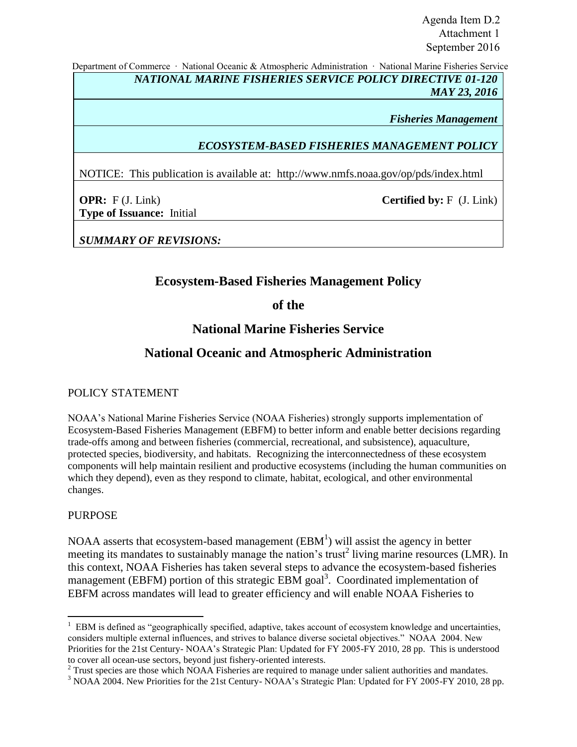Agenda Item D.2 Attachment 1 September 2016

Department of Commerce ∙ National Oceanic & Atmospheric Administration ∙ National Marine Fisheries Service *NATIONAL MARINE FISHERIES SERVICE POLICY DIRECTIVE 01-120*

*MAY 23, 2016*

*Fisheries Management*

# *ECOSYSTEM-BASED FISHERIES MANAGEMENT POLICY*

NOTICE: This publication is available at: <http://www.nmfs.noaa.gov/op/pds/index.html>

**OPR:** F (J. Link) **Type of Issuance:** Initial

**Certified by:** F (J. Link)

*SUMMARY OF REVISIONS:* 

# **Ecosystem-Based Fisheries Management Policy**

## **of the**

**National Marine Fisheries Service** 

# **National Oceanic and Atmospheric Administration**

## POLICY STATEMENT

NOAA's National Marine Fisheries Service (NOAA Fisheries) strongly supports implementation of Ecosystem-Based Fisheries Management (EBFM) to better inform and enable better decisions regarding trade-offs among and between fisheries (commercial, recreational, and subsistence), aquaculture, protected species, biodiversity, and habitats. Recognizing the interconnectedness of these ecosystem components will help maintain resilient and productive ecosystems (including the human communities on which they depend), even as they respond to climate, habitat, ecological, and other environmental changes.

### PURPOSE

NOAA asserts that ecosystem-based management ( $EBM<sup>1</sup>$ ) will assist the agency in better meeting its mandates to sustainably manage the nation's trust<sup>2</sup> living marine resources (LMR). In this context, NOAA Fisheries has taken several steps to advance the ecosystem-based fisheries management (EBFM) portion of this strategic EBM goal<sup>3</sup>. Coordinated implementation of EBFM across mandates will lead to greater efficiency and will enable NOAA Fisheries to

 $1$  EBM is defined as "geographically specified, adaptive, takes account of ecosystem knowledge and uncertainties, considers multiple external influences, and strives to balance diverse societal objectives." NOAA 2004. New Priorities for the 21st Century- NOAA's Strategic Plan: Updated for FY 2005-FY 2010, 28 pp. This is understood to cover all ocean-use sectors, beyond just fishery-oriented interests.

 $2^{2}$  Trust species are those which NOAA Fisheries are required to manage under salient authorities and mandates. <sup>3</sup> NOAA 2004. New Priorities for the 21st Century- NOAA's Strategic Plan: Updated for FY 2005-FY 2010, 28 pp.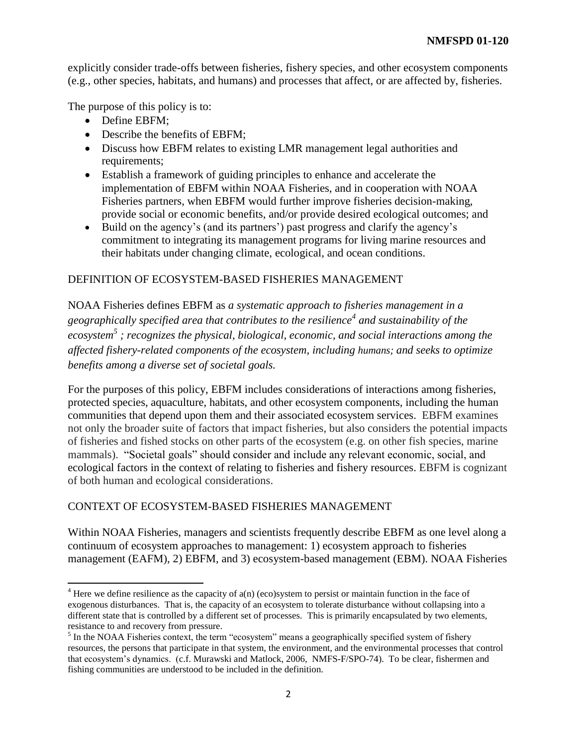explicitly consider trade-offs between fisheries, fishery species, and other ecosystem components (e.g., other species, habitats, and humans) and processes that affect, or are affected by, fisheries.

The purpose of this policy is to:

• Define EBFM;

 $\overline{\phantom{a}}$ 

- Describe the benefits of EBFM;
- Discuss how EBFM relates to existing LMR management legal authorities and requirements;
- Establish a framework of guiding principles to enhance and accelerate the implementation of EBFM within NOAA Fisheries, and in cooperation with NOAA Fisheries partners, when EBFM would further improve fisheries decision-making, provide social or economic benefits, and/or provide desired ecological outcomes; and
- Build on the agency's (and its partners') past progress and clarify the agency's commitment to integrating its management programs for living marine resources and their habitats under changing climate, ecological, and ocean conditions.

### DEFINITION OF ECOSYSTEM-BASED FISHERIES MANAGEMENT

NOAA Fisheries defines EBFM as *a systematic approach to fisheries management in a geographically specified area that contributes to the resilience<sup>4</sup> and sustainability of the ecosystem<sup>5</sup> ; recognizes the physical, biological, economic, and social interactions among the affected fishery-related components of the ecosystem, including humans; and seeks to optimize benefits among a diverse set of societal goals.* 

For the purposes of this policy, EBFM includes considerations of interactions among fisheries, protected species, aquaculture, habitats, and other ecosystem components*,* including the human communities that depend upon them and their associated ecosystem services. EBFM examines not only the broader suite of factors that impact fisheries, but also considers the potential impacts of fisheries and fished stocks on other parts of the ecosystem (e.g. on other fish species, marine mammals). "Societal goals" should consider and include any relevant economic, social, and ecological factors in the context of relating to fisheries and fishery resources. EBFM is cognizant of both human and ecological considerations.

## CONTEXT OF ECOSYSTEM-BASED FISHERIES MANAGEMENT

Within NOAA Fisheries, managers and scientists frequently describe EBFM as one level along a continuum of ecosystem approaches to management: 1) ecosystem approach to fisheries management (EAFM), 2) EBFM, and 3) ecosystem-based management (EBM). NOAA Fisheries

<sup>&</sup>lt;sup>4</sup> Here we define resilience as the capacity of  $a(n)$  (eco)system to persist or maintain function in the face of exogenous disturbances. That is, the capacity of an ecosystem to tolerate disturbance without collapsing into a different state that is controlled by a different set of processes. This is primarily encapsulated by two elements, resistance to and recovery from pressure.

<sup>&</sup>lt;sup>5</sup> In the NOAA Fisheries context, the term "ecosystem" means a geographically specified system of fishery resources, the persons that participate in that system, the environment, and the environmental processes that control that ecosystem's dynamics. (c.f. Murawski and Matlock, 2006, NMFS-F/SPO-74). To be clear, fishermen and fishing communities are understood to be included in the definition.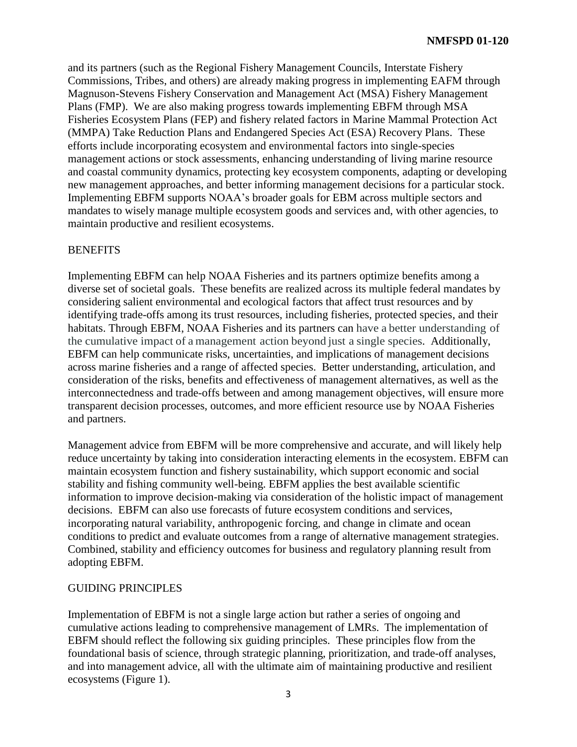and its partners (such as the Regional Fishery Management Councils, Interstate Fishery Commissions, Tribes, and others) are already making progress in implementing EAFM through Magnuson-Stevens Fishery Conservation and Management Act (MSA) Fishery Management Plans (FMP). We are also making progress towards implementing EBFM through MSA Fisheries Ecosystem Plans (FEP) and fishery related factors in Marine Mammal Protection Act (MMPA) Take Reduction Plans and Endangered Species Act (ESA) Recovery Plans. These efforts include incorporating ecosystem and environmental factors into single-species management actions or stock assessments, enhancing understanding of living marine resource and coastal community dynamics, protecting key ecosystem components, adapting or developing new management approaches, and better informing management decisions for a particular stock. Implementing EBFM supports NOAA's broader goals for EBM across multiple sectors and mandates to wisely manage multiple ecosystem goods and services and, with other agencies, to maintain productive and resilient ecosystems.

#### **BENEFITS**

Implementing EBFM can help NOAA Fisheries and its partners optimize benefits among a diverse set of societal goals. These benefits are realized across its multiple federal mandates by considering salient environmental and ecological factors that affect trust resources and by identifying trade-offs among its trust resources, including fisheries, protected species, and their habitats. Through EBFM, NOAA Fisheries and its partners can have a better understanding of the cumulative impact of a management action beyond just a single species. Additionally, EBFM can help communicate risks, uncertainties, and implications of management decisions across marine fisheries and a range of affected species. Better understanding, articulation, and consideration of the risks, benefits and effectiveness of management alternatives, as well as the interconnectedness and trade-offs between and among management objectives, will ensure more transparent decision processes, outcomes, and more efficient resource use by NOAA Fisheries and partners.

Management advice from EBFM will be more comprehensive and accurate, and will likely help reduce uncertainty by taking into consideration interacting elements in the ecosystem. EBFM can maintain ecosystem function and fishery sustainability, which support economic and social stability and fishing community well-being. EBFM applies the best available scientific information to improve decision-making via consideration of the holistic impact of management decisions. EBFM can also use forecasts of future ecosystem conditions and services, incorporating natural variability, anthropogenic forcing, and change in climate and ocean conditions to predict and evaluate outcomes from a range of alternative management strategies. Combined, stability and efficiency outcomes for business and regulatory planning result from adopting EBFM.

#### GUIDING PRINCIPLES

Implementation of EBFM is not a single large action but rather a series of ongoing and cumulative actions leading to comprehensive management of LMRs. The implementation of EBFM should reflect the following six guiding principles. These principles flow from the foundational basis of science, through strategic planning, prioritization, and trade-off analyses, and into management advice, all with the ultimate aim of maintaining productive and resilient ecosystems (Figure 1).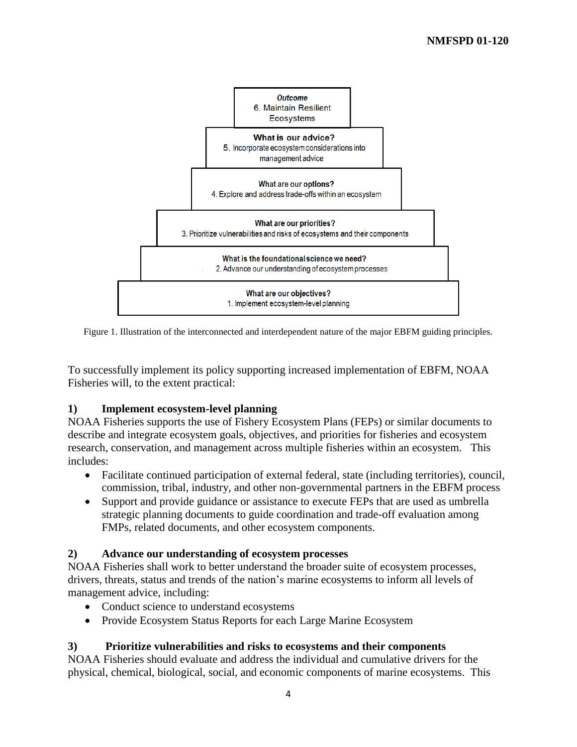

Figure 1. Illustration of the interconnected and interdependent nature of the major EBFM guiding principles.

To successfully implement its policy supporting increased implementation of EBFM, NOAA Fisheries will, to the extent practical:

### **1) Implement ecosystem-level planning**

NOAA Fisheries supports the use of Fishery Ecosystem Plans (FEPs) or similar documents to describe and integrate ecosystem goals, objectives, and priorities for fisheries and ecosystem research, conservation, and management across multiple fisheries within an ecosystem. This includes:

- Facilitate continued participation of external federal, state (including territories), council, commission, tribal, industry, and other non-governmental partners in the EBFM process
- Support and provide guidance or assistance to execute FEPs that are used as umbrella strategic planning documents to guide coordination and trade-off evaluation among FMPs, related documents, and other ecosystem components.

### **2) Advance our understanding of ecosystem processes**

NOAA Fisheries shall work to better understand the broader suite of ecosystem processes, drivers, threats, status and trends of the nation's marine ecosystems to inform all levels of management advice, including:

- Conduct science to understand ecosystems
- Provide Ecosystem Status Reports for each Large Marine Ecosystem

### **3) Prioritize vulnerabilities and risks to ecosystems and their components**

NOAA Fisheries should evaluate and address the individual and cumulative drivers for the physical, chemical, biological, social, and economic components of marine ecosystems. This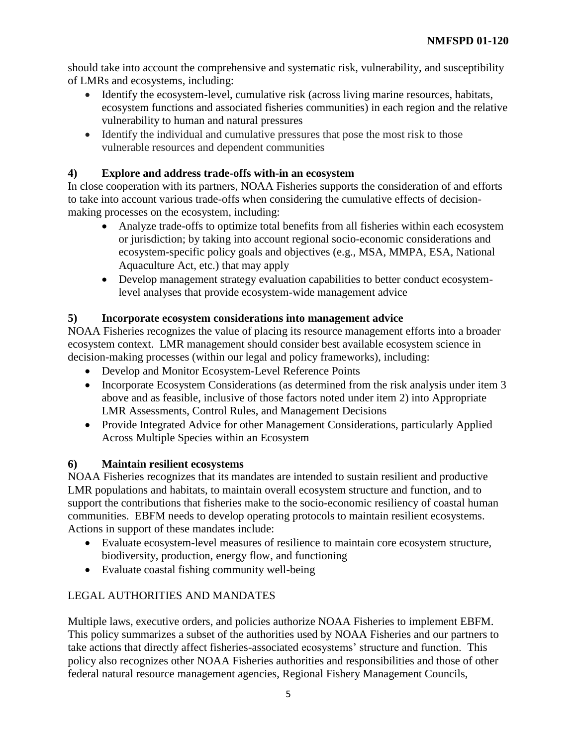should take into account the comprehensive and systematic risk, vulnerability, and susceptibility of LMRs and ecosystems, including:

- Identify the ecosystem-level, cumulative risk (across living marine resources, habitats, ecosystem functions and associated fisheries communities) in each region and the relative vulnerability to human and natural pressures
- Identify the individual and cumulative pressures that pose the most risk to those vulnerable resources and dependent communities

# **4) Explore and address trade-offs with-in an ecosystem**

In close cooperation with its partners, NOAA Fisheries supports the consideration of and efforts to take into account various trade-offs when considering the cumulative effects of decisionmaking processes on the ecosystem, including:

- Analyze trade-offs to optimize total benefits from all fisheries within each ecosystem or jurisdiction; by taking into account regional socio-economic considerations and ecosystem-specific policy goals and objectives (e.g., MSA, MMPA, ESA, National Aquaculture Act, etc.) that may apply
- Develop management strategy evaluation capabilities to better conduct ecosystemlevel analyses that provide ecosystem-wide management advice

## **5) Incorporate ecosystem considerations into management advice**

NOAA Fisheries recognizes the value of placing its resource management efforts into a broader ecosystem context. LMR management should consider best available ecosystem science in decision-making processes (within our legal and policy frameworks), including:

- Develop and Monitor Ecosystem-Level Reference Points
- Incorporate Ecosystem Considerations (as determined from the risk analysis under item 3 above and as feasible, inclusive of those factors noted under item 2) into Appropriate LMR Assessments, Control Rules, and Management Decisions
- Provide Integrated Advice for other Management Considerations, particularly Applied Across Multiple Species within an Ecosystem

## **6) Maintain resilient ecosystems**

NOAA Fisheries recognizes that its mandates are intended to sustain resilient and productive LMR populations and habitats, to maintain overall ecosystem structure and function, and to support the contributions that fisheries make to the socio-economic resiliency of coastal human communities. EBFM needs to develop operating protocols to maintain resilient ecosystems. Actions in support of these mandates include:

- Evaluate ecosystem-level measures of resilience to maintain core ecosystem structure, biodiversity, production, energy flow, and functioning
- Evaluate coastal fishing community well-being

## LEGAL AUTHORITIES AND MANDATES

Multiple laws, executive orders, and policies authorize NOAA Fisheries to implement EBFM. This policy summarizes a subset of the authorities used by NOAA Fisheries and our partners to take actions that directly affect fisheries-associated ecosystems' structure and function. This policy also recognizes other NOAA Fisheries authorities and responsibilities and those of other federal natural resource management agencies, Regional Fishery Management Councils,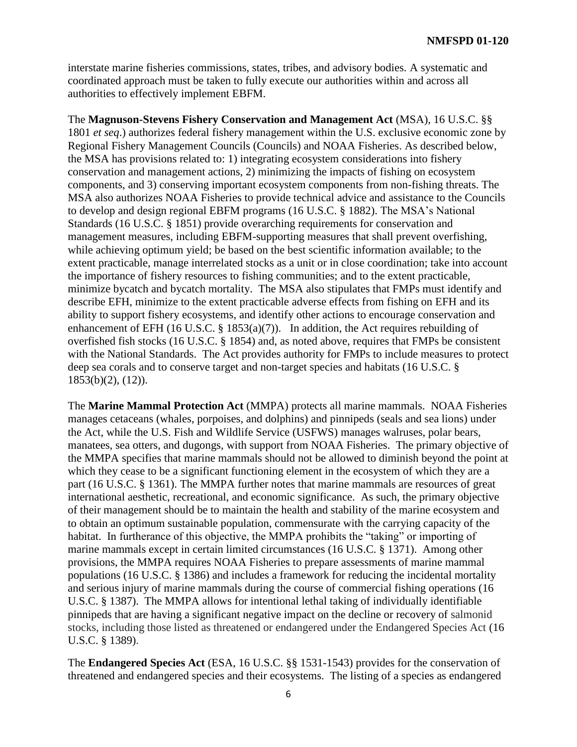interstate marine fisheries commissions, states, tribes, and advisory bodies. A systematic and coordinated approach must be taken to fully execute our authorities within and across all authorities to effectively implement EBFM.

The **Magnuson-Stevens Fishery Conservation and Management Act** (MSA), 16 U.S.C. §§ 1801 *et seq*.) authorizes federal fishery management within the U.S. exclusive economic zone by Regional Fishery Management Councils (Councils) and NOAA Fisheries. As described below, the MSA has provisions related to: 1) integrating ecosystem considerations into fishery conservation and management actions, 2) minimizing the impacts of fishing on ecosystem components, and 3) conserving important ecosystem components from non-fishing threats. The MSA also authorizes NOAA Fisheries to provide technical advice and assistance to the Councils to develop and design regional EBFM programs (16 U.S.C. § 1882). The MSA's National Standards (16 U.S.C. § 1851) provide overarching requirements for conservation and management measures, including EBFM-supporting measures that shall prevent overfishing, while achieving optimum yield; be based on the best scientific information available; to the extent practicable, manage interrelated stocks as a unit or in close coordination; take into account the importance of fishery resources to fishing communities; and to the extent practicable, minimize bycatch and bycatch mortality. The MSA also stipulates that FMPs must identify and describe EFH, minimize to the extent practicable adverse effects from fishing on EFH and its ability to support fishery ecosystems, and identify other actions to encourage conservation and enhancement of EFH (16 U.S.C. § 1853(a)(7)). In addition, the Act requires rebuilding of overfished fish stocks (16 U.S.C. § 1854) and, as noted above, requires that FMPs be consistent with the National Standards. The Act provides authority for FMPs to include measures to protect deep sea corals and to conserve target and non-target species and habitats (16 U.S.C. § 1853(b)(2), (12)).

The **Marine Mammal Protection Act** (MMPA) protects all marine mammals. NOAA Fisheries manages cetaceans (whales, porpoises, and dolphins) and pinnipeds (seals and sea lions) under the Act, while the U.S. Fish and Wildlife Service (USFWS) manages walruses, polar bears, manatees, sea otters, and dugongs, with support from NOAA Fisheries. The primary objective of the MMPA specifies that marine mammals should not be allowed to diminish beyond the point at which they cease to be a significant functioning element in the ecosystem of which they are a part (16 U.S.C. § 1361). The MMPA further notes that marine mammals are resources of great international aesthetic, recreational, and economic significance. As such, the primary objective of their management should be to maintain the health and stability of the marine ecosystem and to obtain an optimum sustainable population, commensurate with the carrying capacity of the habitat. In furtherance of this objective, the MMPA prohibits the "taking" or importing of marine mammals except in certain limited circumstances (16 U.S.C. § 1371). Among other provisions, the MMPA requires NOAA Fisheries to prepare assessments of marine mammal populations (16 U.S.C. § 1386) and includes a framework for reducing the incidental mortality and serious injury of marine mammals during the course of commercial fishing operations (16 U.S.C. § 1387). The MMPA allows for intentional lethal taking of individually identifiable pinnipeds that are having a significant negative impact on the decline or recovery of salmonid stocks, including those listed as threatened or endangered under the Endangered Species Act (16 U.S.C. § 1389).

The **Endangered Species Act** (ESA, 16 U.S.C. §§ 1531-1543) provides for the conservation of threatened and endangered species and their ecosystems. The listing of a species as endangered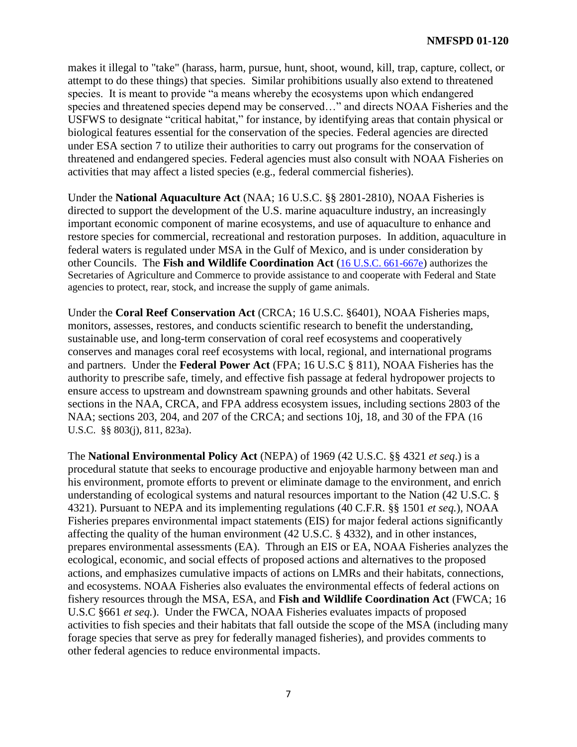makes it illegal to "take" (harass, harm, pursue, hunt, shoot, wound, kill, trap, capture, collect, or attempt to do these things) that species. Similar prohibitions usually also extend to threatened species. It is meant to provide "a means whereby the ecosystems upon which endangered species and threatened species depend may be conserved..." and directs NOAA Fisheries and the USFWS to designate "critical habitat," for instance, by identifying areas that contain physical or biological features essential for the conservation of the species. Federal agencies are directed under ESA section 7 to utilize their authorities to carry out programs for the conservation of threatened and endangered species. Federal agencies must also consult with NOAA Fisheries on activities that may affect a listed species (e.g., federal commercial fisheries).

Under the **National Aquaculture Act** (NAA; 16 U.S.C. §§ 2801-2810), NOAA Fisheries is directed to support the development of the U.S. marine aquaculture industry, an increasingly important economic component of marine ecosystems, and use of aquaculture to enhance and restore species for commercial, recreational and restoration purposes. In addition, aquaculture in federal waters is regulated under MSA in the Gulf of Mexico, and is under consideration by other Councils. The **Fish and Wildlife Coordination Act** ([16 U.S.C. 661-667e](http://www.access.gpo.gov/uscode/title16/chapter5a_subchapteri_.html)) authorizes the Secretaries of Agriculture and Commerce to provide assistance to and cooperate with Federal and State agencies to protect, rear, stock, and increase the supply of game animals.

Under the **Coral Reef Conservation Act** (CRCA; 16 U.S.C. §6401), NOAA Fisheries maps, monitors, assesses, restores, and conducts scientific research to benefit the understanding, sustainable use, and long-term conservation of coral reef ecosystems and cooperatively conserves and manages coral reef ecosystems with local, regional, and international programs and partners. Under the **Federal Power Act** (FPA; 16 U.S.C § 811), NOAA Fisheries has the authority to prescribe safe, timely, and effective fish passage at federal hydropower projects to ensure access to upstream and downstream spawning grounds and other habitats. Several sections in the NAA, CRCA, and FPA address ecosystem issues, including sections 2803 of the NAA; sections 203, 204, and 207 of the CRCA; and sections 10j, 18, and 30 of the FPA (16 U.S.C. §§ 803(j), 811, 823a).

The **National Environmental Policy Act** (NEPA) of 1969 (42 U.S.C. §§ 4321 *et seq*.) is a procedural statute that seeks to encourage productive and enjoyable harmony between man and his environment, promote efforts to prevent or eliminate damage to the environment, and enrich understanding of ecological systems and natural resources important to the Nation (42 U.S.C. § 4321). Pursuant to NEPA and its implementing regulations (40 C.F.R. §§ 1501 *et seq.*), NOAA Fisheries prepares environmental impact statements (EIS) for major federal actions significantly affecting the quality of the human environment (42 U.S.C. § 4332), and in other instances, prepares environmental assessments (EA). Through an EIS or EA, NOAA Fisheries analyzes the ecological, economic, and social effects of proposed actions and alternatives to the proposed actions, and emphasizes cumulative impacts of actions on LMRs and their habitats, connections, and ecosystems. NOAA Fisheries also evaluates the environmental effects of federal actions on fishery resources through the MSA, ESA, and **Fish and Wildlife Coordination Act** (FWCA; 16 U.S.C §661 *et seq.*). Under the FWCA, NOAA Fisheries evaluates impacts of proposed activities to fish species and their habitats that fall outside the scope of the MSA (including many forage species that serve as prey for federally managed fisheries), and provides comments to other federal agencies to reduce environmental impacts.